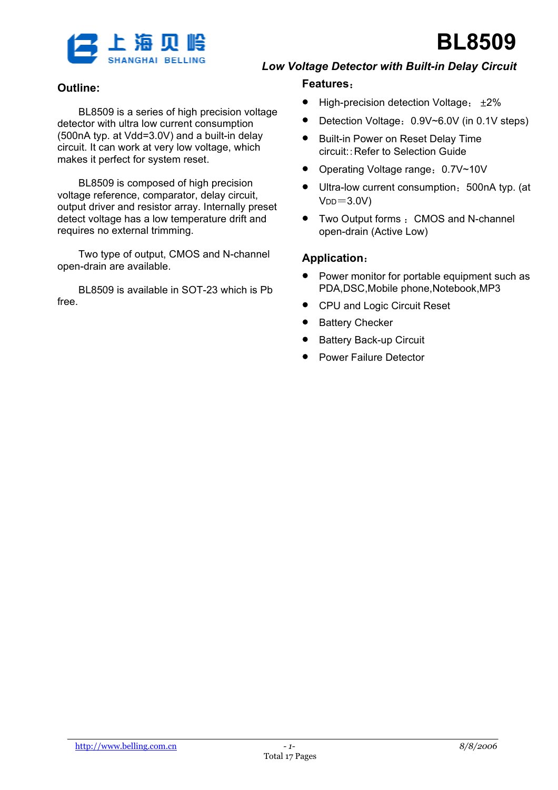



#### Low Voltage Detector with Built-in Delay Circuit

#### Features

- $\bullet$ High-precision detection Voltage:  $\pm 2\%$
- Detection Voltage: 0.9V~6.0V (in 0.1V steps)
- Built-in Power on Reset Delay Time circuit::Refer to Selection Guide
- Operating Voltage range: 0.7V~10V
- Ultra-low current consumption: 500nA typ. (at  $VDD = 3.0V$
- Two Output forms : CMOS and N-channel open-drain (Active Low)

#### Application

- Power monitor for portable equipment such as PDA,DSC,Mobile phone,Notebook,MP3
- CPU and Logic Circuit Reset
- Battery Checker
- Battery Back-up Circuit
- Power Failure Detector

#### Outline:

BL8509 is a series of high precision voltage detector with ultra low current consumption (500nA typ. at Vdd=3.0V) and a built-in delay circuit. It can work at very low voltage, which makes it perfect for system reset.

BL8509 is composed of high precision voltage reference, comparator, delay circuit, output driver and resistor array. Internally preset detect voltage has a low temperature drift and requires no external trimming.

Two type of output, CMOS and N-channel open-drain are available.

BL8509 is available in SOT-23 which is Pb free.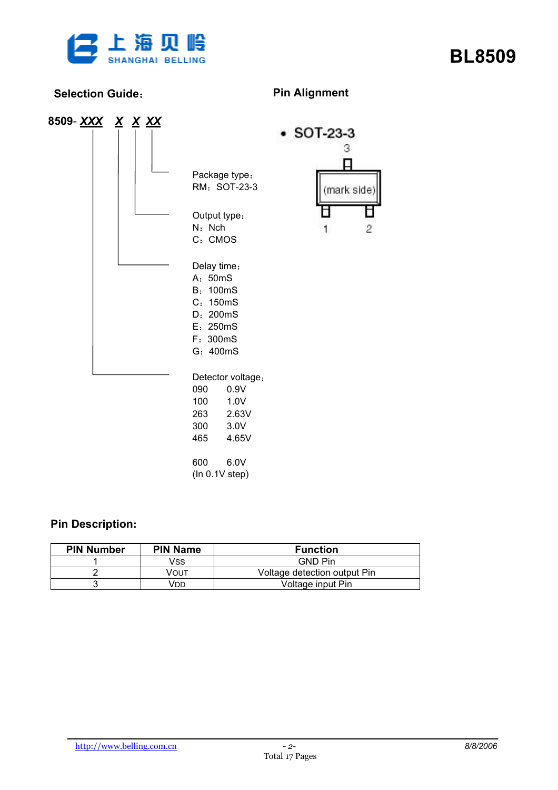

#### Selection Guide: Pin Alignment



#### Pin Description:

| <b>PIN Number</b> | <b>PIN Name</b> | <b>Function</b>              |
|-------------------|-----------------|------------------------------|
|                   | <b>VSS</b>      | <b>GND Pin</b>               |
|                   | VOUT            | Voltage detection output Pin |
|                   | Vdd             | Voltage input Pin            |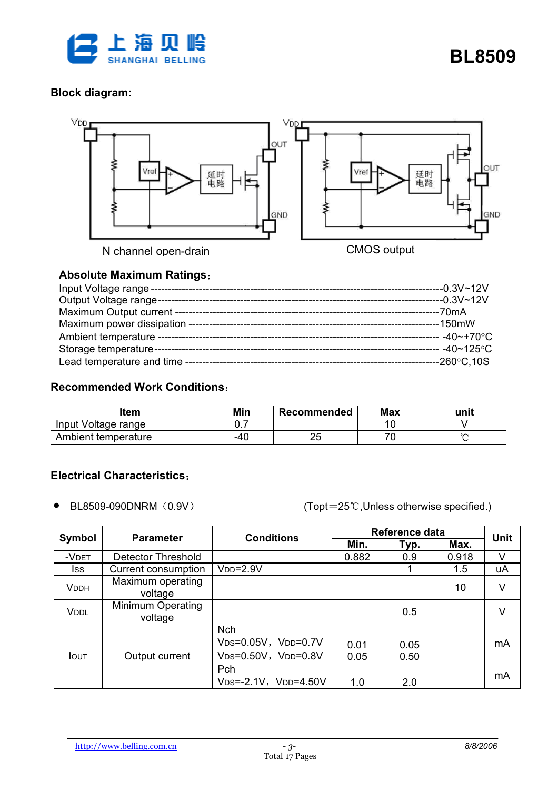

### Block diagram:



#### Absolute Maximum Ratings

#### Recommended Work Conditions

| ltem                | Min | Recommended | <b>Max</b> | unit   |
|---------------------|-----|-------------|------------|--------|
| Input Voltage range | ັ.  |             |            |        |
| Ambient temperature | -40 | ້           |            | $\sim$ |

### Electrical Characteristics

- 
- BL8509-090DNRM  $(0.9V)$  (Topt=25°C, Unless otherwise specified.)

| Symbol       | <b>Parameter</b>             | <b>Conditions</b>                                             |              | Reference data |       | Unit |
|--------------|------------------------------|---------------------------------------------------------------|--------------|----------------|-------|------|
|              |                              |                                                               | Min.         | Typ.           | Max.  |      |
| -VDET        | <b>Detector Threshold</b>    |                                                               | 0.882        | 0.9            | 0.918 | V    |
| lss          | Current consumption          | $VDD = 2.9V$                                                  |              |                | 1.5   | uA   |
| <b>VDDH</b>  | Maximum operating<br>voltage |                                                               |              |                | 10    | V    |
| <b>VDDL</b>  | Minimum Operating<br>voltage |                                                               |              | 0.5            |       | V    |
| <b>I</b> OUT | Output current               | <b>Nch</b><br>$VDS=0.05V$ , $VDD=0.7V$<br>VDS=0.50V, VDD=0.8V | 0.01<br>0.05 | 0.05<br>0.50   |       | mA   |
|              |                              | Pch<br>$VDS = -2.1V$ , $VDD = 4.50V$                          | 1.0          | 2.0            |       | mA   |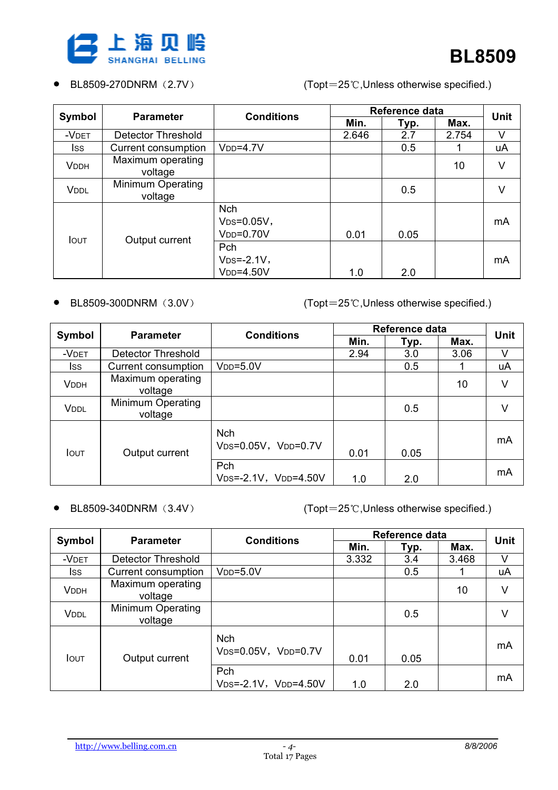

● BL8509-270DNRM  $(2.7V)$  (Topt=25°C, Unless otherwise specified.)

|              | <b>Parameter</b>             | <b>Conditions</b>                          |       | Reference data |       | Unit |
|--------------|------------------------------|--------------------------------------------|-------|----------------|-------|------|
| Symbol       |                              |                                            | Min.  | Typ.           | Max.  |      |
| -VDET        | Detector Threshold           |                                            | 2.646 | 2.7            | 2.754 | V    |
| Iss          | Current consumption          | $VDD=4.7V$                                 |       | 0.5            |       | uA   |
| <b>VDDH</b>  | Maximum operating<br>voltage |                                            |       |                | 10    | V    |
| <b>VDDL</b>  | Minimum Operating<br>voltage |                                            |       | 0.5            |       | V    |
|              |                              | <b>Nch</b><br>$VDS=0.05V$ ,<br>$VDD=0.70V$ | 0.01  | 0.05           |       | mA   |
| <b>I</b> OUT | Output current               | Pch<br>$VDS = -2.1V$<br>$VDD=4.50V$        | 1.0   | 2.0            |       | mA   |

● BL8509-300DNRM  $(3.0V)$  (Topt=25°C, Unless otherwise specified.)

|              | <b>Parameter</b>             | <b>Conditions</b>                          |      | Reference data |      | <b>Unit</b> |
|--------------|------------------------------|--------------------------------------------|------|----------------|------|-------------|
| Symbol       |                              |                                            | Min. | Typ.           | Max. |             |
| -VDET        | <b>Detector Threshold</b>    |                                            | 2.94 | 3.0            | 3.06 | V           |
| Iss          | Current consumption          | $VDD = 5.0V$                               |      | 0.5            |      | uA          |
| <b>VDDH</b>  | Maximum operating<br>voltage |                                            |      |                | 10   | $\vee$      |
| <b>VDDL</b>  | Minimum Operating<br>voltage |                                            |      | 0.5            |      | V           |
| <b>I</b> OUT | Output current               | <b>Nch</b><br>VDS=0.05V, VDD=0.7V          | 0.01 | 0.05           |      | mA          |
|              |                              | Pch<br>$V_{DS} = -2.1V$ , $V_{DD} = 4.50V$ | 1.0  | 2.0            |      | mA          |

● BL8509-340DNRM  $(3.4V)$  (Topt = 25°C, Unless otherwise specified.)

| Symbol      | <b>Parameter</b>                    | <b>Conditions</b>                    |       | Reference data |       | <b>Unit</b> |
|-------------|-------------------------------------|--------------------------------------|-------|----------------|-------|-------------|
|             |                                     |                                      | Min.  | Typ.           | Max.  |             |
| -VDET       | <b>Detector Threshold</b>           |                                      | 3.332 | 3.4            | 3.468 | V           |
| lss         | Current consumption                 | $VDD = 5.0V$                         |       | 0.5            |       | uA          |
| <b>VDDH</b> | Maximum operating<br>voltage        |                                      |       |                | 10    | $\vee$      |
| <b>VDDL</b> | <b>Minimum Operating</b><br>voltage |                                      |       | 0.5            |       | V           |
| <b>IOUT</b> | Output current                      | <b>Nch</b><br>VDS=0.05V, VDD=0.7V    | 0.01  | 0.05           |       | mA          |
|             |                                     | Pch<br>$VDS = -2.1V$ , $VDD = 4.50V$ | 1.0   | 2.0            |       | mA          |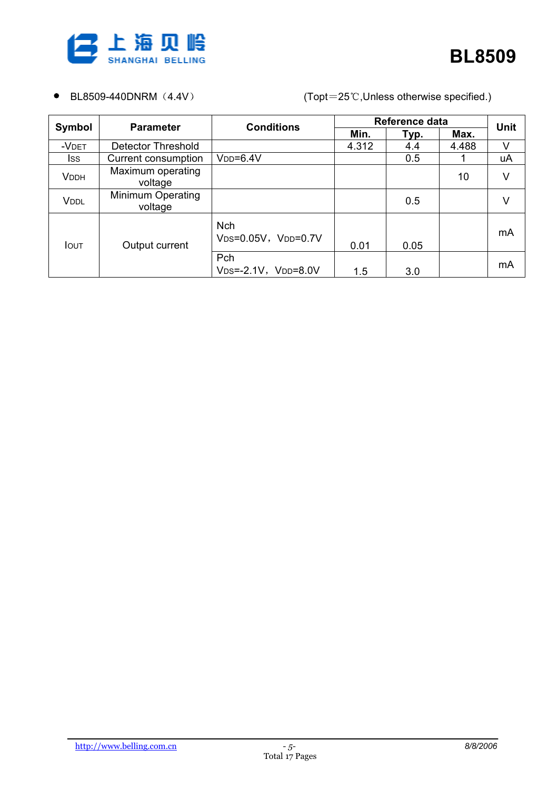

#### ● BL8509-440DNRM  $(4.4V)$  (Topt=25°C, Unless otherwise specified.)

|              |                                     | <b>Conditions</b>                   |       | Reference data |       | <b>Unit</b> |
|--------------|-------------------------------------|-------------------------------------|-------|----------------|-------|-------------|
| Symbol       | <b>Parameter</b>                    |                                     | Min.  | Typ.           | Max.  |             |
| -VDET        | <b>Detector Threshold</b>           |                                     | 4.312 | 4.4            | 4.488 | V           |
| lss          | Current consumption                 | $VDD=6.4V$                          |       | 0.5            |       | uA          |
| <b>VDDH</b>  | Maximum operating<br>voltage        |                                     |       |                | 10    | V           |
| <b>VDDL</b>  | <b>Minimum Operating</b><br>voltage |                                     |       | 0.5            |       | V           |
| <b>I</b> OUT | Output current                      | <b>Nch</b><br>VDS=0.05V, VDD=0.7V   | 0.01  | 0.05           |       | mA          |
|              |                                     | Pch<br>$VDS = -2.1V$ , $VDD = 8.0V$ | 1.5   | 3.0            |       | mA          |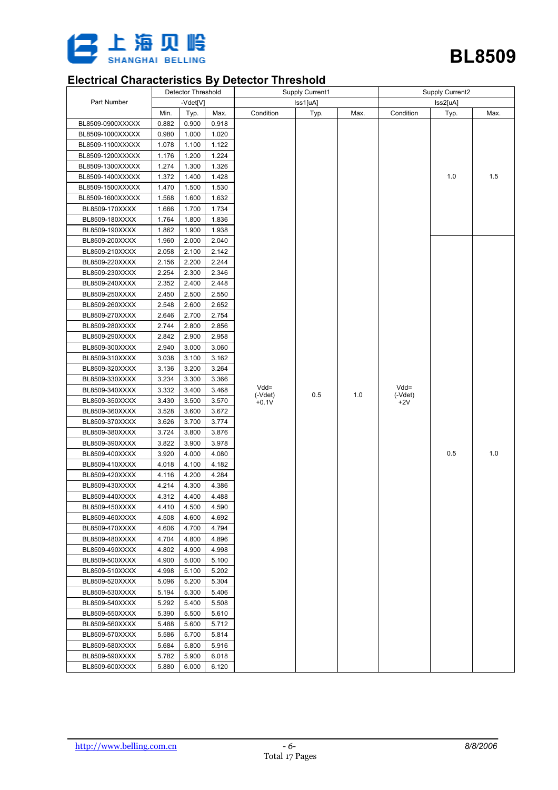

### Electrical Characteristics By Detector Threshold

|                  |       | <b>Detector Threshold</b> |       |                      | Supply Current1 |      |                    | Supply Current2              |      |
|------------------|-------|---------------------------|-------|----------------------|-----------------|------|--------------------|------------------------------|------|
| Part Number      |       | -Vdet[V]                  |       |                      | Iss1[uA]        |      |                    | $\textsf{lss2}[\textsf{uA}]$ |      |
|                  | Min.  | Typ.                      | Max.  | Condition            | Typ.            | Max. | Condition          | Typ.                         | Max. |
| BL8509-0900XXXXX | 0.882 | 0.900                     | 0.918 |                      |                 |      |                    |                              |      |
| BL8509-1000XXXXX | 0.980 | 1.000                     | 1.020 |                      |                 |      |                    |                              |      |
| BL8509-1100XXXXX | 1.078 | 1.100                     | 1.122 |                      |                 |      |                    |                              |      |
| BL8509-1200XXXXX | 1.176 | 1.200                     | 1.224 |                      |                 |      |                    |                              |      |
| BL8509-1300XXXXX | 1.274 | 1.300                     | 1.326 |                      |                 |      |                    |                              |      |
| BL8509-1400XXXXX | 1.372 | 1.400                     | 1.428 |                      |                 |      |                    | 1.0                          | 1.5  |
| BL8509-1500XXXXX | 1.470 | 1.500                     | 1.530 |                      |                 |      |                    |                              |      |
| BL8509-1600XXXXX | 1.568 | 1.600                     | 1.632 |                      |                 |      |                    |                              |      |
| BL8509-170XXXX   | 1.666 | 1.700                     | 1.734 |                      |                 |      |                    |                              |      |
| BL8509-180XXXX   | 1.764 | 1.800                     | 1.836 |                      |                 |      |                    |                              |      |
| BL8509-190XXXX   | 1.862 | 1.900                     | 1.938 |                      |                 |      |                    |                              |      |
| BL8509-200XXXX   | 1.960 | 2.000                     | 2.040 |                      |                 |      |                    |                              |      |
| BL8509-210XXXX   | 2.058 | 2.100                     | 2.142 |                      |                 |      |                    |                              |      |
| BL8509-220XXXX   | 2.156 | 2.200                     | 2.244 |                      |                 |      |                    |                              |      |
| BL8509-230XXXX   | 2.254 | 2.300                     | 2.346 |                      |                 |      |                    |                              |      |
| BL8509-240XXXX   | 2.352 | 2.400                     | 2.448 |                      |                 |      |                    |                              |      |
| BL8509-250XXXX   | 2.450 | 2.500                     | 2.550 |                      |                 |      |                    |                              |      |
| BL8509-260XXXX   | 2.548 | 2.600                     | 2.652 |                      |                 |      |                    |                              |      |
| BL8509-270XXXX   | 2.646 | 2.700                     | 2.754 |                      |                 |      |                    |                              |      |
| BL8509-280XXXX   | 2.744 | 2.800                     | 2.856 |                      |                 |      |                    |                              |      |
| BL8509-290XXXX   | 2.842 | 2.900                     | 2.958 |                      |                 |      |                    |                              |      |
| BL8509-300XXXX   | 2.940 | 3.000                     | 3.060 |                      |                 |      |                    |                              |      |
| BL8509-310XXXX   | 3.038 | 3.100                     | 3.162 |                      |                 |      |                    |                              |      |
| BL8509-320XXXX   | 3.136 | 3.200                     | 3.264 |                      |                 |      |                    |                              |      |
| BL8509-330XXXX   | 3.234 | 3.300                     | 3.366 |                      |                 |      |                    |                              |      |
| BL8509-340XXXX   | 3.332 | 3.400                     | 3.468 | $Vdd =$              |                 |      | $Vdd =$            |                              |      |
| BL8509-350XXXX   | 3.430 | 3.500                     | 3.570 | $(-Vdet)$<br>$+0.1V$ | 0.5             | 1.0  | $(-Vdet)$<br>$+2V$ |                              |      |
| BL8509-360XXXX   | 3.528 | 3.600                     | 3.672 |                      |                 |      |                    |                              |      |
| BL8509-370XXXX   | 3.626 | 3.700                     | 3.774 |                      |                 |      |                    |                              |      |
| BL8509-380XXXX   | 3.724 | 3.800                     | 3.876 |                      |                 |      |                    |                              |      |
| BL8509-390XXXX   | 3.822 | 3.900                     | 3.978 |                      |                 |      |                    |                              |      |
| BL8509-400XXXX   | 3.920 | 4.000                     | 4.080 |                      |                 |      |                    | 0.5                          | 1.0  |
| BL8509-410XXXX   | 4.018 | 4.100                     | 4.182 |                      |                 |      |                    |                              |      |
| BL8509-420XXXX   | 4.116 | 4.200                     | 4.284 |                      |                 |      |                    |                              |      |
| BL8509-430XXXX   | 4.214 | 4.300                     | 4.386 |                      |                 |      |                    |                              |      |
| BL8509-440XXXX   | 4.312 | 4.400                     | 4.488 |                      |                 |      |                    |                              |      |
| BL8509-450XXXX   | 4.410 | 4.500                     | 4.590 |                      |                 |      |                    |                              |      |
| BL8509-460XXXX   | 4.508 | 4.600                     | 4.692 |                      |                 |      |                    |                              |      |
| BL8509-470XXXX   | 4.606 | 4.700                     | 4.794 |                      |                 |      |                    |                              |      |
| BL8509-480XXXX   | 4.704 | 4.800                     | 4.896 |                      |                 |      |                    |                              |      |
| BL8509-490XXXX   | 4.802 | 4.900                     | 4.998 |                      |                 |      |                    |                              |      |
| BL8509-500XXXX   | 4.900 | 5.000                     | 5.100 |                      |                 |      |                    |                              |      |
| BL8509-510XXXX   | 4.998 | 5.100                     | 5.202 |                      |                 |      |                    |                              |      |
| BL8509-520XXXX   | 5.096 | 5.200                     | 5.304 |                      |                 |      |                    |                              |      |
| BL8509-530XXXX   | 5.194 | 5.300                     | 5.406 |                      |                 |      |                    |                              |      |
| BL8509-540XXXX   | 5.292 | 5.400                     | 5.508 |                      |                 |      |                    |                              |      |
| BL8509-550XXXX   | 5.390 | 5.500                     | 5.610 |                      |                 |      |                    |                              |      |
| BL8509-560XXXX   | 5.488 | 5.600                     | 5.712 |                      |                 |      |                    |                              |      |
| BL8509-570XXXX   | 5.586 | 5.700                     | 5.814 |                      |                 |      |                    |                              |      |
| BL8509-580XXXX   | 5.684 | 5.800                     | 5.916 |                      |                 |      |                    |                              |      |
| BL8509-590XXXX   | 5.782 | 5.900                     | 6.018 |                      |                 |      |                    |                              |      |
| BL8509-600XXXX   | 5.880 | 6.000                     | 6.120 |                      |                 |      |                    |                              |      |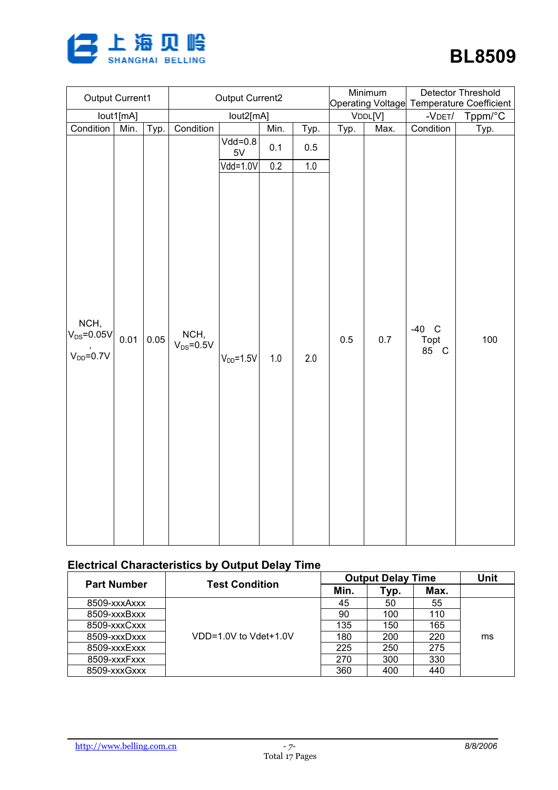

|                                             | Output Current1 |      |                         | <b>Output Current2</b>       |         |         |      | Minimum |                         | Detector Threshold<br>Operating Voltage Temperature Coefficient |
|---------------------------------------------|-----------------|------|-------------------------|------------------------------|---------|---------|------|---------|-------------------------|-----------------------------------------------------------------|
|                                             | lout1[mA]       |      |                         | lout2[mA]                    |         |         |      | VDDL[V] | -VDET/                  | Tppm/°C                                                         |
| Condition                                   | Min.            | Typ. | Condition               |                              | Min.    | Typ.    | Typ. | Max.    | Condition               | Typ.                                                            |
|                                             |                 |      |                         | $Vdd = 0.8$<br>$5\mathrm{V}$ | 0.1     | 0.5     |      |         |                         |                                                                 |
|                                             |                 |      |                         | $Vdd = 1.0V$                 | 0.2     | $1.0\,$ |      |         |                         |                                                                 |
| NCH,<br>$V_{DS} = 0.05V$<br>$V_{DD} = 0.7V$ | 0.01            | 0.05 | NCH,<br>$V_{DS} = 0.5V$ | $V_{DD} = 1.5V$              | $1.0\,$ | $2.0\,$ | 0.5  | 0.7     | $-40$ C<br>Topt<br>85 C | 100                                                             |

## Electrical Characteristics by Output Delay Time

|                    |                       |      | <b>Output Delay Time</b> |      | Unit |
|--------------------|-----------------------|------|--------------------------|------|------|
| <b>Part Number</b> | <b>Test Condition</b> | Min. | Typ.                     | Max. |      |
| 8509-xxxAxxx       |                       | 45   | 50                       | 55   |      |
| 8509-xxxBxxx       |                       | 90   | 100                      | 110  |      |
| 8509-xxxCxxx       |                       | 135  | 150                      | 165  |      |
| 8509-xxxDxxx       | VDD=1.0V to Vdet+1.0V | 180  | 200                      | 220  | ms   |
| 8509-xxxExxx       |                       | 225  | 250                      | 275  |      |
| 8509-xxxFxxx       |                       | 270  | 300                      | 330  |      |
| 8509-xxxGxxx       |                       | 360  | 400                      | 440  |      |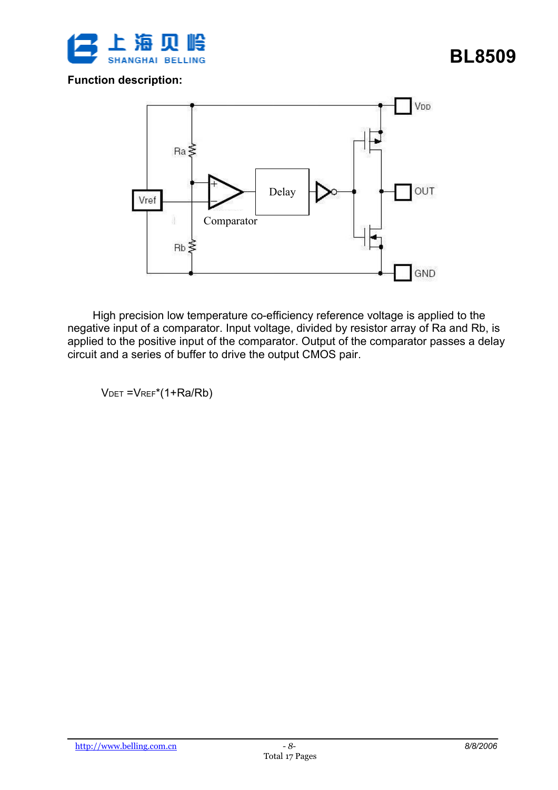

#### Function description:



 High precision low temperature co-efficiency reference voltage is applied to the negative input of a comparator. Input voltage, divided by resistor array of Ra and Rb, is applied to the positive input of the comparator. Output of the comparator passes a delay circuit and a series of buffer to drive the output CMOS pair.

VDET = VREF<sup>\*</sup>(1+Ra/Rb)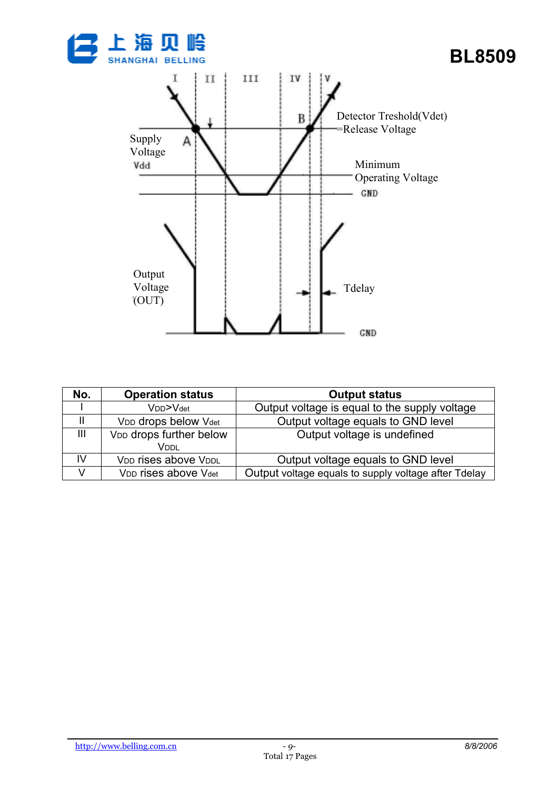



| No. | <b>Operation status</b>             | <b>Output status</b>                                 |
|-----|-------------------------------------|------------------------------------------------------|
|     | V <sub>DD</sub> >V <sub>det</sub>   | Output voltage is equal to the supply voltage        |
|     | VDD drops below Vdet                | Output voltage equals to GND level                   |
| Ш   | V <sub>DD</sub> drops further below | Output voltage is undefined                          |
|     | Vddl                                |                                                      |
| IV  | VDD rises above VDDL                | Output voltage equals to GND level                   |
|     | VDD rises above Vdet                | Output voltage equals to supply voltage after Tdelay |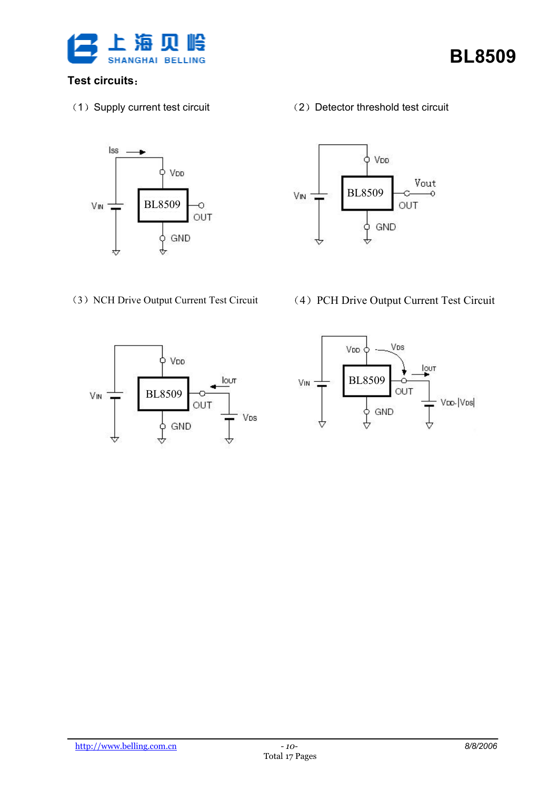

#### Test circuits



1 Supply current test circuit 2 Detector threshold test circuit



(3) NCH Drive Output Current Test Circuit (4) PCH Drive Output Current Test Circuit



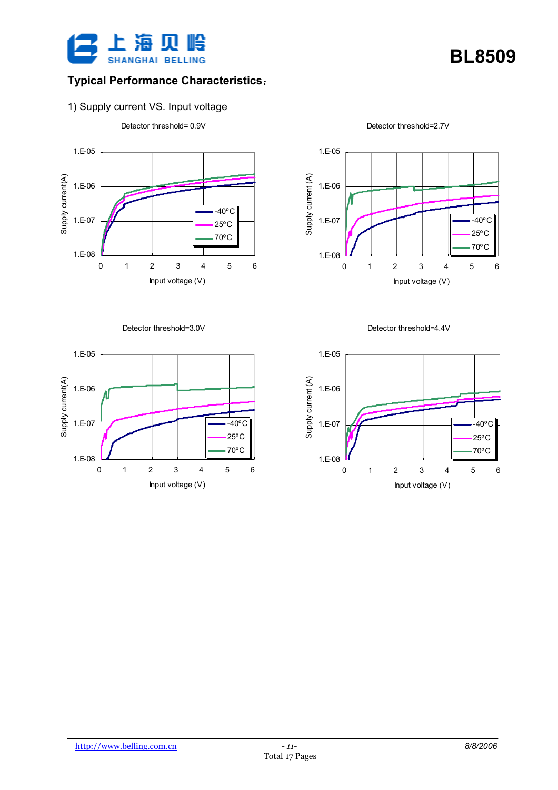

### Typical Performance Characteristics

1) Supply current VS. Input voltage



Detector threshold= 0.9V

Detector threshold=2.7V

BL8509







Detector threshold=3.0V



http://www.belling.com.cn 8/8/2006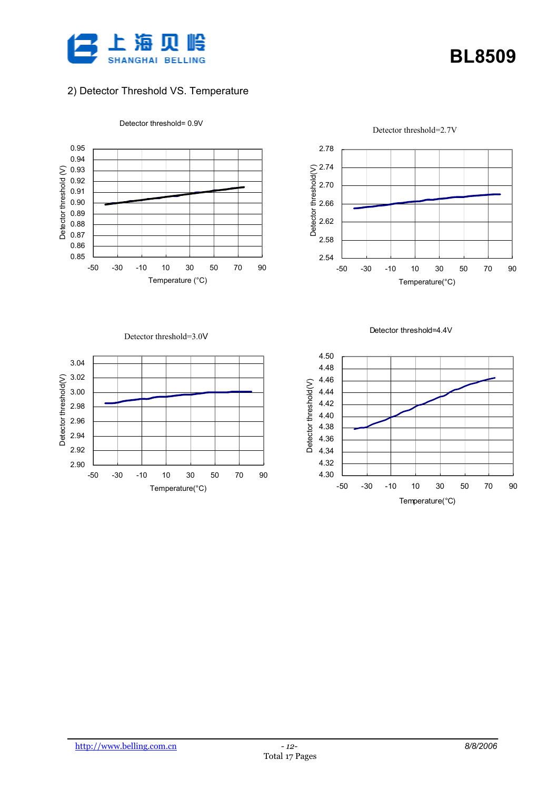

#### 2) Detector Threshold VS. Temperature



#### Detector threshold= 0.9V

Detector threshold=2.7V

BL8509



Detector threshold=3.0V



Detector threshold=4.4V

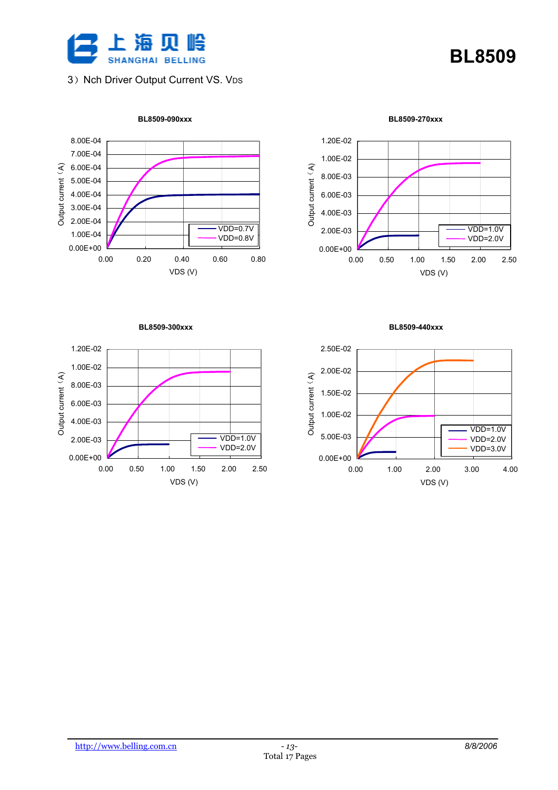

#### 3) Nch Driver Output Current VS. VDS

BL8509-090xxx

# BL8509





BL8509-270xxx

BL8509-300xxx



BL8509-440xxx

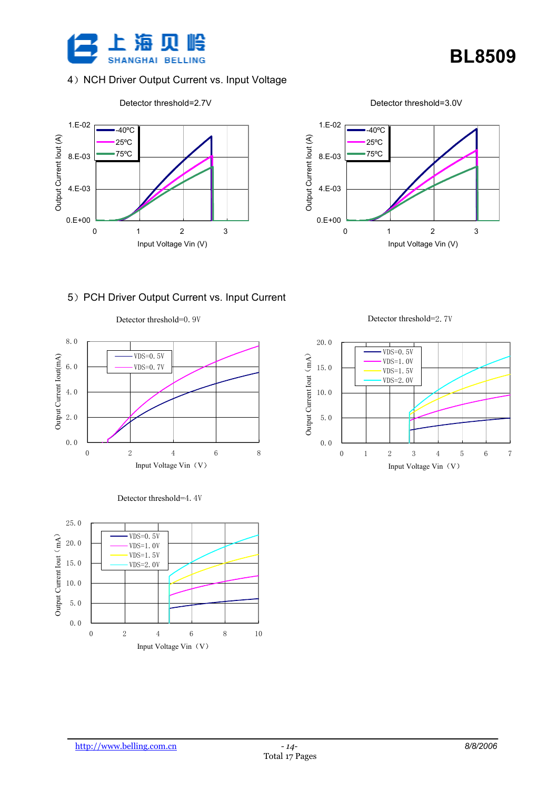

#### 4) NCH Driver Output Current vs. Input Voltage



Detector threshold=3.0V



#### 5 PCH Driver Output Current vs. Input Current









Detector threshold=2.7V

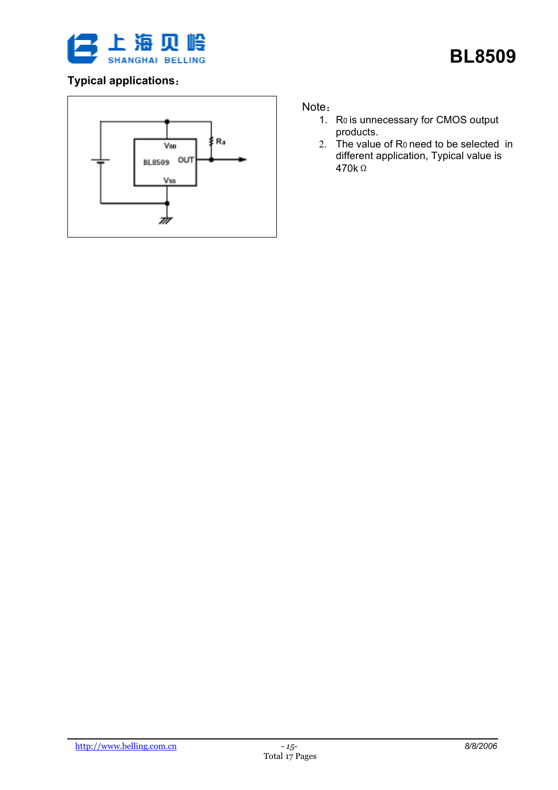

### Typical applications



Note:

- 1. R0 is unnecessary for CMOS output products.
- 2. The value of R0 need to be selected in different application, Typical value is 470k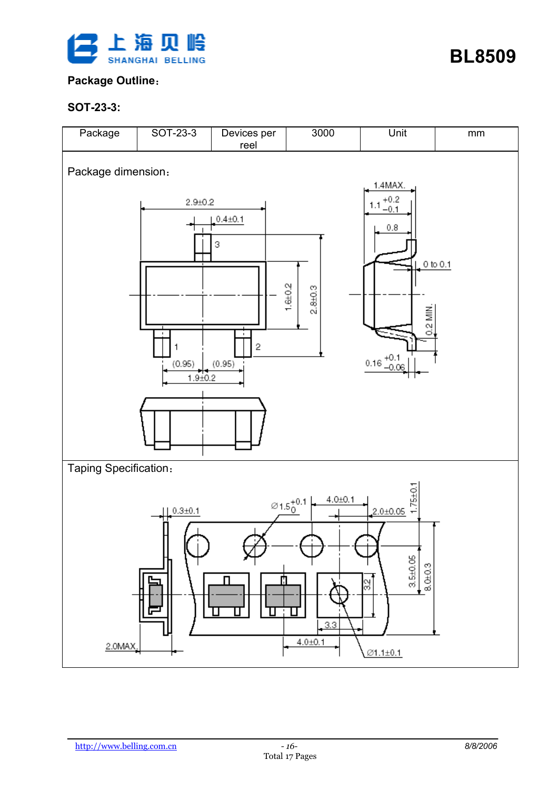

### Package Outline

#### SOT-23-3: